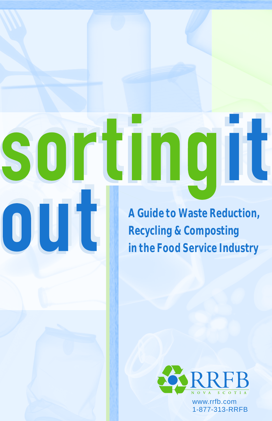**A Guide to Waste Reduction, Recycling & Composting in the Food Service Industry**

rtingit

S

 $\overline{\mathbf{1}}$ 

out



www.rrfb.com 1-877-313-RRFB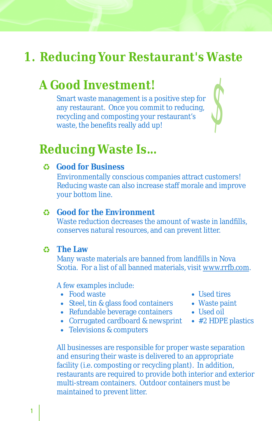## **1. Reducing Your Restaurant's Waste**

## **A Good Investment!**

Smart waste management is a positive step for any restaurant. Once you commit to reducing, recycling and composting your restaurant's waste, the benefits really add up!



### **Reducing Waste Is...**

**Good for Business**

Environmentally conscious companies attract customers! Reducing waste can also increase staff morale and improve your bottom line.

### **Good for the Environment**

Waste reduction decreases the amount of waste in landfills, conserves natural resources, and can prevent litter.

#### **The Law**

Many waste materials are banned from landfills in Nova Scotia. For a list of all banned materials, visit www.rrfb.com.

A few examples include:

- Food waste
- Steel, tin & glass food containers
- Refundable beverage containers
- Corrugated cardboard & newsprint
- Televisions & computers
- All businesses are responsible for proper waste separation and ensuring their waste is delivered to an appropriate facility (i.e. composting or recycling plant). In addition, restaurants are required to provide both interior and exterior multi-stream containers. Outdoor containers must be maintained to prevent litter.
- Used tires
- Waste paint
- Used oil
- #2 HDPE plastics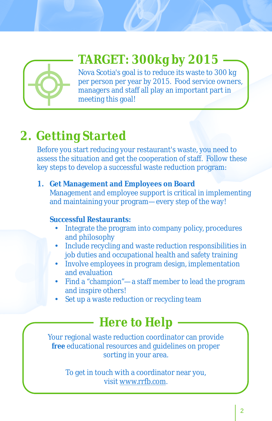

# **TARGET: 300kg by 2015**

Nova Scotia's goal is to reduce its waste to 300 kg per person per year by 2015. Food service owners, managers and staff all play an important part in meeting this goal!

# **2. Getting Started**

Before you start reducing your restaurant's waste, you need to assess the situation and get the cooperation of staff. Follow these key steps to develop a successful waste reduction program:

**1. Get Management and Employees on Board** Management and employee support is critical in implementing and maintaining your program—every step of the way!

### **Successful Restaurants:**

- ?**essful Restaurants:** Integrate the program into company policy, procedures
- and philosophy<br>
Include recycling and waste reduction responsibilities in
- ?job duties and occupational health and safety training Involve employees in program design, implementation
- and evaluation<br>Find a "champion"—a staff member to lead the program<br>
- and inspire others!<br>• Set up a waste reduction or recycling team

# **Here to Help**

Your regional waste reduction coordinator can provide *free* educational resources and guidelines on proper sorting in your area.

> To get in touch with a coordinator near you, visit www.rrfb.com.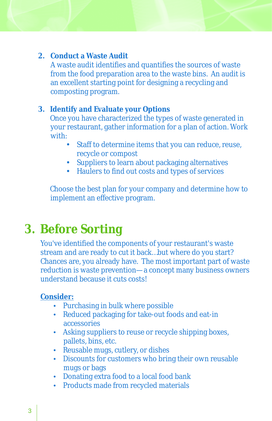- **2. Conduct a Waste Audit** A waste audit identifies and quantifies the sources of waste from the food preparation area to the waste bins. An audit is an excellent starting point for designing a recycling and composting program.
- **3. Identify and Evaluate your Options** Once you have characterized the types of waste generated in your restaurant, gather information for a plan of action. Work with:
	- Staff to determine items that you can reduce, reuse, recycle or compost<br>• Suppliers to learn about packaging alternatives
	-
	- ?Suppliers to learn about packaging alternatives Haulers to find out costs and types of services

Choose the best plan for your company and determine how to implement an effective program.

# **3. Before Sorting**

You've identified the components of your restaurant's waste stream and are ready to cut it back…but where do you start? Chances are, you already have. The most important part of waste reduction is waste prevention—a concept many business owners understand because it cuts costs!

### **Consider:**

- 
- Purchasing in bulk where possible<br>• Reduced packaging for take-out foods and eat-in
- accessories<br>
Asking suppliers to reuse or recycle shipping boxes,
- pallets, bins, etc.<br>• Reusable mugs, cutlery, or dishes
- Reusable mugs, cutlery, or dishes<br>• Discounts for customers who bring their own reusable
- mugs or bags<br>• Donating extra food to a local food bank
- ?Donating extra food to a local food bank Products made from recycled materials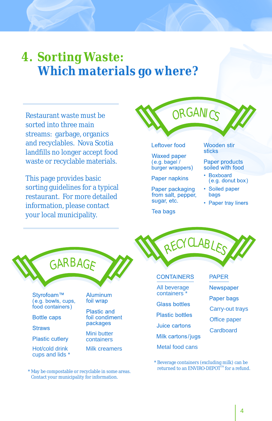# **4. Sorting Waste: Which materials go where?**

Restaurant waste must be sorted into three main streams: garbage, organics and recyclables. Nova Scotia landfills no longer accept food waste or recyclable materials.

This page provides basic sorting guidelines for a typical restaurant. For more detailed information, please contact your local municipality.



RECYCLABLES

- Boxboard  $(e.g.$  donut box)
- Soiled paper bags
- Paper tray liners



Styrofoam™ (e.g. bowls, cups, food containers)

**Bottle caps** 

**Straws** 

**Plastic cutlery** 

Hot/cold drink cups and lids \* Aluminum foil wrap

Plastic and foil condiment packages

Mini butter containers

Milk creamers

\* May be compostable or recyclable in some areas. Contact your municipality for information.

#### **CONTAINERS**

All beverage containers \*

Paper napkins

sugar, etc.

Tea bags

Paper packaging

from salt, pepper,

- **Glass bottles**
- **Plastic bottles**
- Juice cartons

Milk cartons/jugs

- 
- Metal food cans
- **PAPER** 
	- Newspaper
- Paper bags
- Carry-out trays
- Office paper
- **Cardboard**

\* Beverage containers (excluding milk) can be returned to an ENVIRO-DEPOT<sup>™</sup> for a refund.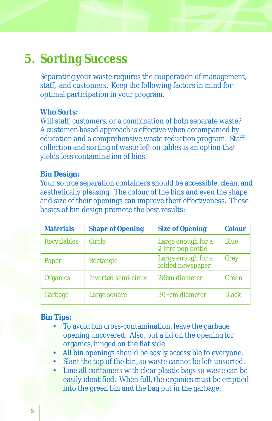## **5. Sorting Success**

Separating your waste requires the cooperation of management, staff, and customers. Keep the following factors in mind for optimal participation in your program.

### **Who Sorts:**

Will staff, customers, or a combination of both separate waste? A customer-based approach is effective when accompanied by education and a comprehensive waste reduction program. Staff collection and sorting of waste left on tables is an option that yields less contamination of bins.

#### **Bin Design:**

Your source separation containers should be accessible, clean, and aesthetically pleasing. The colour of the bins and even the shape and size of their openings can improve their effectiveness. These basics of bin design promote the best results:

| <b>Materials</b>   | <b>Shape of Opening</b> | <b>Size of Opening</b>                   | Colour       |
|--------------------|-------------------------|------------------------------------------|--------------|
| <b>Recyclables</b> | Circle                  | Large enough for a<br>2 litre pop bottle | <b>Blue</b>  |
| Paper              | Rectangle               | Large enough for a<br>folded newspaper   | Grey         |
| <b>Organics</b>    | Inverted semi-circle    | 28cm diameter                            | Green        |
| Garbage            | Large square            | 30+cm diameter                           | <b>Black</b> |

#### **Bin Tips:**

- To avoid bin cross-contamination, leave the garbage opening uncovered. Also, put a lid on the opening for organics, hinged on the flat side.<br>• All bin openings should be easily accessible to everyone.
- 
- Slant the top of the bin, so waste cannot be left unsorted.
- ?Slant the top of the bin, so waste cannot be left unsorted. Line all containers with clear plastic bags so waste can be easily identified. When full, the organics must be emptied into the green bin and the bag put in the garbage.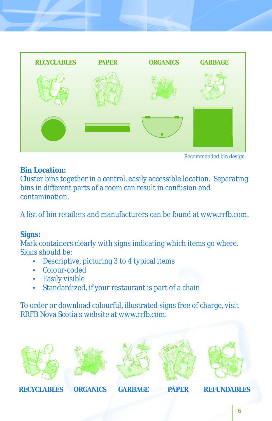

**Bin Location:**

Cluster bins together in a central, easily accessible location. Separating bins in different parts of a room can result in confusion and contamination.

A list of bin retailers and manufacturers can be found at www.rrfb.com.

### **Signs:**

Mark containers clearly with signs indicating which items go where. Signs should be:

- Descriptive, picturing 3 to 4 typical items<br>• Colour-coded
- 
- Easily visible
- ?Easily visible Standardized, if your restaurant is part of a chain

To order or download colourful, illustrated signs free of charge, visit RRFB Nova Scotia's website at www.rrfb.com.











**RECYCLABLES ORGANICS GARBAGE PAPER REFUNDABLES**